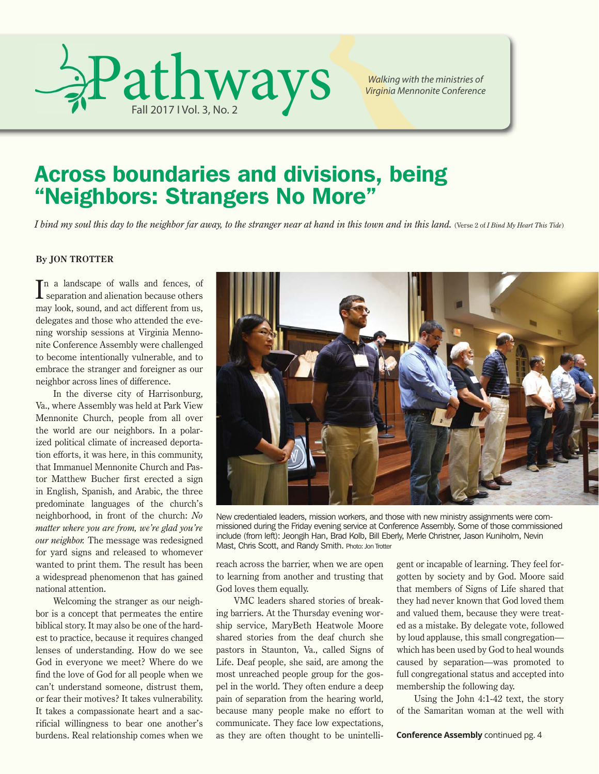

*Walking with the ministries of Virginia Mennonite Conference*

## Across boundaries and divisions, being "Neighbors: Strangers No More"

*I bind my soul this day to the neighbor far away, to the stranger near at hand in this town and in this land. (Verse 2 of <i>I Bind My Heart This Tide*)

#### **By JON TROTTER**

In a landscape of walls and fences, of separation and alienation because others separation and alienation because others may look, sound, and act different from us, delegates and those who attended the evening worship sessions at Virginia Mennonite Conference Assembly were challenged to become intentionally vulnerable, and to embrace the stranger and foreigner as our neighbor across lines of difference.

In the diverse city of Harrisonburg, Va., where Assembly was held at Park View Mennonite Church, people from all over the world are our neighbors. In a polarized political climate of increased deportation efforts, it was here, in this community, that Immanuel Mennonite Church and Pastor Matthew Bucher first erected a sign in English, Spanish, and Arabic, the three predominate languages of the church's neighborhood, in front of the church: *No matter where you are from, we're glad you're our neighbor.* The message was redesigned for yard signs and released to whomever wanted to print them. The result has been a widespread phenomenon that has gained national attention.

Welcoming the stranger as our neighbor is a concept that permeates the entire biblical story. It may also be one of the hardest to practice, because it requires changed lenses of understanding. How do we see God in everyone we meet? Where do we find the love of God for all people when we can't understand someone, distrust them, or fear their motives? It takes vulnerability. It takes a compassionate heart and a sacrificial willingness to bear one another's burdens. Real relationship comes when we



New credentialed leaders, mission workers, and those with new ministry assignments were commissioned during the Friday evening service at Conference Assembly. Some of those commissioned include (from left): Jeongih Han, Brad Kolb, Bill Eberly, Merle Christner, Jason Kuniholm, Nevin Mast, Chris Scott, and Randy Smith. Photo: Jon Trotter

reach across the barrier, when we are open to learning from another and trusting that God loves them equally.

VMC leaders shared stories of breaking barriers. At the Thursday evening worship service, MaryBeth Heatwole Moore shared stories from the deaf church she pastors in Staunton, Va., called Signs of Life. Deaf people, she said, are among the most unreached people group for the gospel in the world. They often endure a deep pain of separation from the hearing world, because many people make no effort to communicate. They face low expectations, as they are often thought to be unintelligent or incapable of learning. They feel forgotten by society and by God. Moore said that members of Signs of Life shared that they had never known that God loved them and valued them, because they were treated as a mistake. By delegate vote, followed by loud applause, this small congregation which has been used by God to heal wounds caused by separation—was promoted to full congregational status and accepted into membership the following day.

Using the John 4:1-42 text, the story of the Samaritan woman at the well with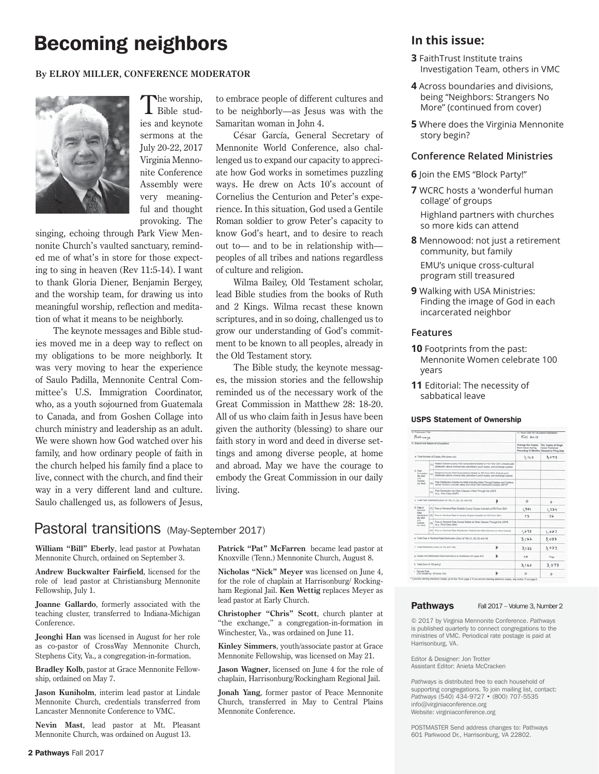## **Becoming neighbors In this issue:**

#### **By ELROY MILLER, CONFERENCE MODERATOR**



The worship,<br>Bible studies and keynote sermons at the July 20-22, 2017 Virginia Mennonite Conference Assembly were very meaningful and thought provoking. The

singing, echoing through Park View Mennonite Church's vaulted sanctuary, reminded me of what's in store for those expecting to sing in heaven (Rev 11:5-14). I want to thank Gloria Diener, Benjamin Bergey, and the worship team, for drawing us into meaningful worship, reflection and meditation of what it means to be neighborly.

The keynote messages and Bible studies moved me in a deep way to reflect on my obligations to be more neighborly. It was very moving to hear the experience of Saulo Padilla, Mennonite Central Committee's U.S. Immigration Coordinator, who, as a youth sojourned from Guatemala to Canada, and from Goshen Collage into church ministry and leadership as an adult. We were shown how God watched over his family, and how ordinary people of faith in the church helped his family find a place to live, connect with the church, and find their way in a very different land and culture. Saulo challenged us, as followers of Jesus, to embrace people of different cultures and to be neighborly—as Jesus was with the Samaritan woman in John 4.

César García, General Secretary of Mennonite World Conference, also challenged us to expand our capacity to appreciate how God works in sometimes puzzling ways. He drew on Acts 10's account of Cornelius the Centurion and Peter's experience. In this situation, God used a Gentile Roman soldier to grow Peter's capacity to know God's heart, and to desire to reach out to— and to be in relationship with peoples of all tribes and nations regardless of culture and religion.

Wilma Bailey, Old Testament scholar, lead Bible studies from the books of Ruth and 2 Kings. Wilma recast these known scriptures, and in so doing, challenged us to grow our understanding of God's commitment to be known to all peoples, already in the Old Testament story.

The Bible study, the keynote messages, the mission stories and the fellowship reminded us of the necessary work of the Great Commission in Matthew 28: 18-20. All of us who claim faith in Jesus have been given the authority (blessing) to share our faith story in word and deed in diverse settings and among diverse people, at home and abroad. May we have the courage to embody the Great Commission in our daily living.

**Patrick "Pat" McFarren** became lead pastor at Knoxville (Tenn.) Mennonite Church, August 8. **Nicholas "Nick" Meyer** was licensed on June 4, for the role of chaplain at Harrisonburg/ Rockingham Regional Jail. **Ken Wettig** replaces Meyer as

**Christopher "Chris" Scott**, church planter at "the exchange," a congregation-in-formation in Winchester, Va., was ordained on June 11.

**Kinley Simmers**, youth/associate pastor at Grace Mennonite Fellowship, was licensed on May 21. **Jason Wagner**, licensed on June 4 for the role of chaplain, Harrisonburg/Rockingham Regional Jail. **Jonah Yang**, former pastor of Peace Mennonite Church, transferred in May to Central Plains

lead pastor at Early Church.

Mennonite Conference.

### Pastoral transitions (May-September 2017)

**William "Bill" Eberly**, lead pastor at Powhatan Mennonite Church, ordained on September 3.

**Andrew Buckwalter Fairfield**, licensed for the role of lead pastor at Christiansburg Mennonite Fellowship, July 1.

**Joanne Gallardo**, formerly associated with the teaching cluster, transferred to Indiana-Michigan Conference.

**Jeonghi Han** was licensed in August for her role as co-pastor of CrossWay Mennonite Church, Stephens City, Va., a congregation-in-formation.

**Bradley Kolb**, pastor at Grace Mennonite Fellowship, ordained on May 7.

**Jason Kuniholm**, interim lead pastor at Lindale Mennonite Church, credentials transferred from Lancaster Mennonite Conference to VMC.

**Nevin Mast**, lead pastor at Mt. Pleasant Mennonite Church, was ordained on August 13.

- **3** FaithTrust Institute trains Investigation Team, others in VMC
- **4** Across boundaries and divisions, being "Neighbors: Strangers No More" (continued from cover)
- **5** Where does the Virginia Mennonite story begin?

#### **Conference Related Ministries**

- **6** Join the EMS "Block Party!"
- **7** WCRC hosts a 'wonderful human collage' of groups

 Highland partners with churches so more kids can attend

- **8** Mennowood: not just a retirement community, but family EMU's unique cross-cultural program still treasured
- **9** Walking with USA Ministries: Finding the image of God in each incarcerated neighbor

#### **Features**

- **10** Footprints from the past: Mennonite Women celebrate 100 years
- **11** Editorial: The necessity of sabbatical leave

#### USPS Statement of Ownership

| 13 Publication Title<br>Pathways<br>15. Extent and Nature of Circulation<br>a. Total Number of Copies (Net press run) |                                                                                                                                                                |                                                                                                 |         | 14. Issue Date for Circulation Data Bulling<br>$Fn  $ 2017              |            |
|-----------------------------------------------------------------------------------------------------------------------|----------------------------------------------------------------------------------------------------------------------------------------------------------------|-------------------------------------------------------------------------------------------------|---------|-------------------------------------------------------------------------|------------|
|                                                                                                                       |                                                                                                                                                                |                                                                                                 |         |                                                                         |            |
|                                                                                                                       |                                                                                                                                                                |                                                                                                 |         | 3,162                                                                   | 3.073      |
|                                                                                                                       |                                                                                                                                                                |                                                                                                 |         | b. Paid<br>Cinisdation<br>(By Mail<br><b>AND</b><br>Outside<br>the Mail | <b>LYS</b> |
| (m)                                                                                                                   | Melled to County Paid Subscriptions Stated on PS Form 3541 (Include paid<br>distribution above increase rate, advertiser's proof copies, and excitance copies) |                                                                                                 |         |                                                                         |            |
| mi                                                                                                                    | Faid Distribution Outside the Mails Including Baltes Through Dealers and Carriers.<br>Street Vendors, Counter Sales, and Other Feld Disktbullon Dutable USPS®  |                                                                                                 |         |                                                                         |            |
| (a)                                                                                                                   | Paid Distribution by Other Dactes of Mall Through the USPS<br>In a. First-Class MarVi                                                                          |                                                                                                 |         |                                                                         |            |
| L. Total Paid Olymbulion (Slum of 193 (1), (2), (3), and (4).<br>Þ                                                    |                                                                                                                                                                |                                                                                                 | $\circ$ | ۰                                                                       |            |
| d. Free or<br>Norwick<br><b>State</b><br>Distribution<br><b>IBy Mail</b><br>wid<br>Outside<br><b>Fat Mail</b>         |                                                                                                                                                                | (1) Free or Noreinal Rain Outside County Copies Induded on PS Form 3541                         |         | 1,351                                                                   | 1.334      |
|                                                                                                                       |                                                                                                                                                                | (2) Fire of Northral Rate In County Copies Included on PR Form 1541                             |         | 78                                                                      | 72         |
|                                                                                                                       | шi                                                                                                                                                             | Free or Norricul Pate Cooke Malled at Other Classes Through the USPE.<br>in a. First-Class Madi |         |                                                                         |            |
|                                                                                                                       |                                                                                                                                                                | (4) Free or Norringi Rate Distribution Dutside the Mail (Carriers or other means)               |         | 1.698                                                                   | 1.627      |
| e. Total Free or Nominal Rate Distribution (Sum of 154/71). (2). (3) and (4)                                          |                                                                                                                                                                |                                                                                                 |         | 3.122                                                                   | 3.033      |
| 7. Total Distribution (Suns of TAI and That                                                                           |                                                                                                                                                                |                                                                                                 | ь       | 3,122                                                                   | 3.033      |
| g. Copies not Distributed (See Alathurisms is Publishers #4 (yage #3))                                                |                                                                                                                                                                |                                                                                                 |         | 40                                                                      | 40         |
| h. Total (Sum of 13f and gl.                                                                                          |                                                                                                                                                                |                                                                                                 | 3.162   | 3.073                                                                   |            |
| 1. Percent Part<br>(15) divided by 150 lines 1001                                                                     |                                                                                                                                                                |                                                                                                 |         | $\circ$                                                                 | ٥          |

#### Pathways Fall 2017 – Volume 3, Number 2

© 2017 by Virginia Mennonite Conference. *Pathways* is published quarterly to connect congregations to the ministries of VMC. Periodical rate postage is paid at Harrisonburg, VA.

Editor & Designer: Jon Trotter Assistant Editor: Anieta McCracken

*Pathways* is distributed free to each household of supporting congregations. To join mailing list, contact: *Pathways* (540) 434-9727 • (800) 707-5535 info@virginiaconference.org Website: virginiaconference.org

POSTMASTER Send address changes to: Pathways 601 Parkwood Dr., Harrisonburg, VA 22802.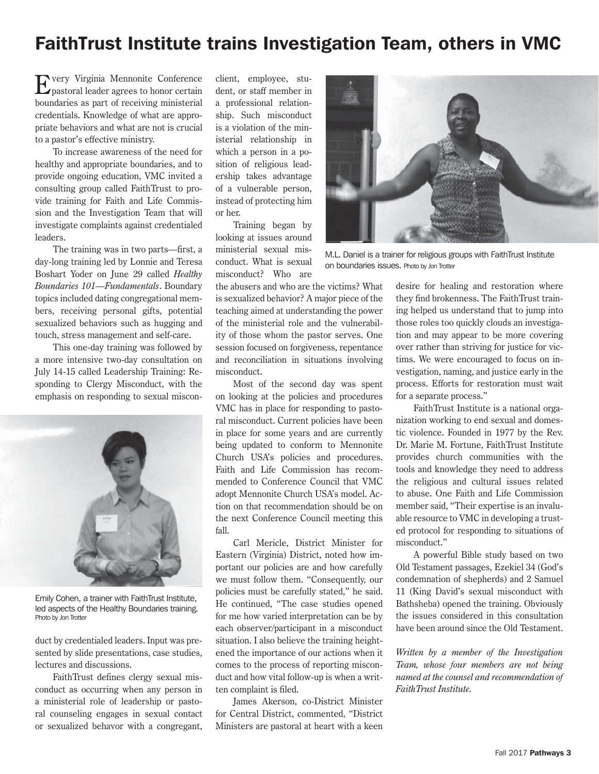### FaithTrust Institute trains Investigation Team, others in VMC

Every Virginia Mennonite Conference pastoral leader agrees to honor certain boundaries as part of receiving ministerial credentials. Knowledge of what are appropriate behaviors and what are not is crucial to a pastor's effective ministry.

To increase awareness of the need for healthy and appropriate boundaries, and to provide ongoing education, VMC invited a consulting group called FaithTrust to provide training for Faith and Life Commission and the Investigation Team that will investigate complaints against credentialed leaders.

The training was in two parts—first, a day-long training led by Lonnie and Teresa Boshart Yoder on June 29 called *Healthy Boundaries 101—Fundamentals*. Boundary topics included dating congregational members, receiving personal gifts, potential sexualized behaviors such as hugging and touch, stress management and self-care.

This one-day training was followed by a more intensive two-day consultation on July 14-15 called Leadership Training: Responding to Clergy Misconduct, with the emphasis on responding to sexual miscon-



Emily Cohen, a trainer with FaithTrust Institute, led aspects of the Healthy Boundaries training. Photo by Jon Trotter

duct by credentialed leaders. Input was presented by slide presentations, case studies, lectures and discussions.

FaithTrust defines clergy sexual misconduct as occurring when any person in a ministerial role of leadership or pastoral counseling engages in sexual contact or sexualized behavor with a congregant,

client, employee, student, or staff member in a professional relationship. Such misconduct is a violation of the ministerial relationship in which a person in a position of religious leadership takes advantage of a vulnerable person, instead of protecting him or her.

Training began by looking at issues around ministerial sexual misconduct. What is sexual misconduct? Who are

the abusers and who are the victims? What is sexualized behavior? A major piece of the teaching aimed at understanding the power of the ministerial role and the vulnerability of those whom the pastor serves. One session focused on forgiveness, repentance and reconciliation in situations involving misconduct.

Most of the second day was spent on looking at the policies and procedures VMC has in place for responding to pastoral misconduct. Current policies have been in place for some years and are currently being updated to conform to Mennonite Church USA's policies and procedures. Faith and Life Commission has recommended to Conference Council that VMC adopt Mennonite Church USA's model. Action on that recommendation should be on the next Conference Council meeting this fall.

Carl Mericle, District Minister for Eastern (Virginia) District, noted how important our policies are and how carefully we must follow them. "Consequently, our policies must be carefully stated," he said. He continued, "The case studies opened for me how varied interpretation can be by each observer/participant in a misconduct situation. I also believe the training heightened the importance of our actions when it comes to the process of reporting misconduct and how vital follow-up is when a written complaint is filed.

James Akerson, co-District Minister for Central District, commented, "District Ministers are pastoral at heart with a keen



M.L. Daniel is a trainer for religious groups with FaithTrust Institute on boundaries issues. Photo by Jon Trotter

desire for healing and restoration where they find brokenness. The FaithTrust training helped us understand that to jump into those roles too quickly clouds an investigation and may appear to be more covering over rather than striving for justice for victims. We were encouraged to focus on investigation, naming, and justice early in the process. Efforts for restoration must wait for a separate process."

FaithTrust Institute is a national organization working to end sexual and domestic violence. Founded in 1977 by the Rev. Dr. Marie M. Fortune, FaithTrust Institute provides church communities with the tools and knowledge they need to address the religious and cultural issues related to abuse. One Faith and Life Commission member said, "Their expertise is an invaluable resource to VMC in developing a trusted protocol for responding to situations of misconduct."

A powerful Bible study based on two Old Testament passages, Ezekiel 34 (God's condemnation of shepherds) and 2 Samuel 11 (King David's sexual misconduct with Bathsheba) opened the training. Obviously the issues considered in this consultation have been around since the Old Testament.

*Written by a member of the Investigation Team, whose four members are not being named at the counsel and recommendation of FaithTrust Institute.*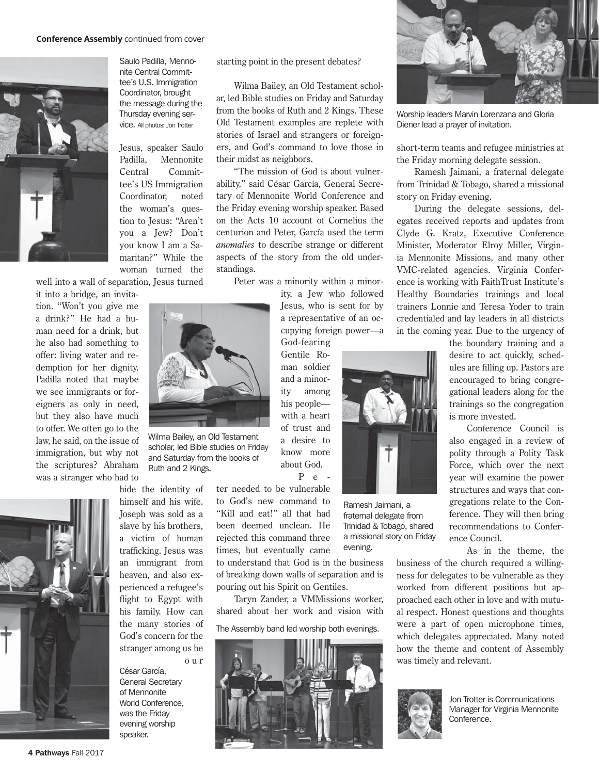

Saulo Padilla, Mennonite Central Committee's U.S. Immigration Coordinator, brought the message during the Thursday evening service. All photos: Jon Trotter

Jesus, speaker Saulo Padilla, Mennonite Central Committee's US Immigration Coordinator, noted the woman's question to Jesus: "Aren't you a Jew? Don't you know I am a Samaritan?" While the woman turned the

well into a wall of separation, Jesus turned

it into a bridge, an invitation. "Won't you give me a drink?" He had a human need for a drink, but he also had something to offer: living water and redemption for her dignity. Padilla noted that maybe we see immigrants or foreigners as only in need, but they also have much to offer. We often go to the law, he said, on the issue of immigration, but why not the scriptures? Abraham was a stranger who had to



hide the identity of

o u r César García, General Secretary of Mennonite World Conference, was the Friday evening worship speaker.

starting point in the present debates?

Wilma Bailey, an Old Testament scholar, led Bible studies on Friday and Saturday from the books of Ruth and 2 Kings. These Old Testament examples are replete with stories of Israel and strangers or foreigners, and God's command to love those in their midst as neighbors.

"The mission of God is about vulnerability," said César García, General Secretary of Mennonite World Conference and the Friday evening worship speaker. Based on the Acts 10 account of Cornelius the centurion and Peter, García used the term *anomalies* to describe strange or different aspects of the story from the old understandings.

Peter was a minority within a minor-

ity, a Jew who followed Jesus, who is sent for by a representative of an occupying foreign power —a God-fearing

Gentile Roman soldier and a minority among his people with a heart of trust and a desire to know more about God.

P e -

Ramesh Jaimani, a fraternal delegate from Trinidad & Tobago, shared a missional story on Friday

evening.

ter needed to be vulnerable to God's new command to "Kill and eat!" all that had been deemed unclean. He rejected this command three times, but eventually came

to understand that God is in the business of breaking down walls of separation and is pouring out his Spirit on Gentiles.

Taryn Zander, a VMMissions worker, shared about her work and vision with

The Assembly band led worship both evenings.





Worship leaders Marvin Lorenzana and Gloria Diener lead a prayer of invitation.

short-term teams and refugee ministries at the Friday morning delegate session.

Ramesh Jaimani, a fraternal delegate from Trinidad & Tobago, shared a missional story on Friday evening.

During the delegate sessions, delegates received reports and updates from Clyde G. Kratz, Executive Conference Minister, Moderator Elroy Miller, Virginia Mennonite Missions, and many other VMC-related agencies. Virginia Conference is working with FaithTrust Institute's Healthy Boundaries trainings and local trainers Lonnie and Teresa Yoder to train credentialed and lay leaders in all districts in the coming year. Due to the urgency of

> the boundary training and a desire to act quickly, schedules are filling up. Pastors are encouraged to bring congregational leaders along for the trainings so the congregation is more invested.

> Conference Council is also engaged in a review of polity through a Polity Task Force, which over the next year will examine the power structures and ways that congregations relate to the Conference. They will then bring recommendations to Conference Council.

> > As in the theme, the

business of the church required a willingness for delegates to be vulnerable as they worked from different positions but approached each other in love and with mutual respect. Honest questions and thoughts were a part of open microphone times, which delegates appreciated. Many noted how the theme and content of Assembly was timely and relevant.



Jon Trotter is Communications Manager for Virginia Mennonite Conference.



Wilma Bailey, an Old Testament scholar, led Bible studies on Friday and Saturday from the books of Ruth and 2 Kings.

himself and his wife. Joseph was sold as a slave by his brothers, a victim of human trafficking. Jesus was an immigrant from heaven, and also experienced a refugee's flight to Egypt with his family. How can the many stories of God's concern for the stranger among us be

4 Pathways Fall 2017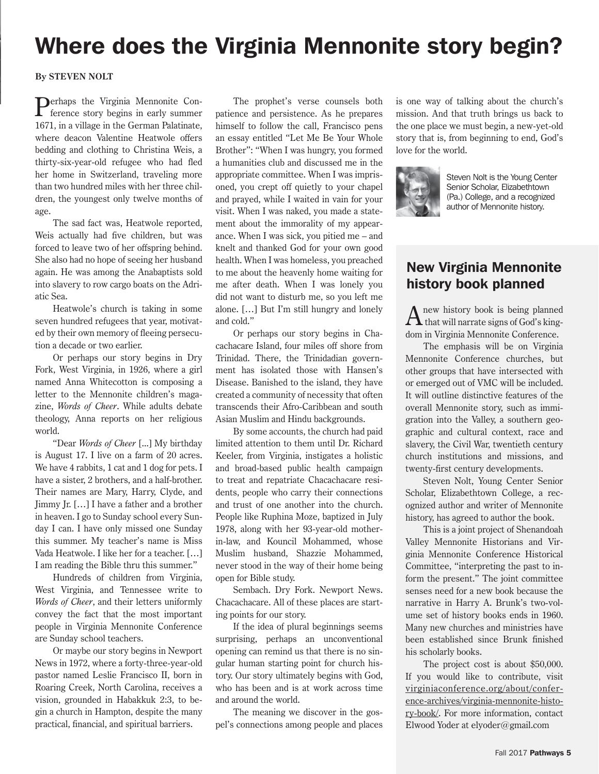# Where does the Virginia Mennonite story begin?

#### **By STEVEN NOLT**

Perhaps the Virginia Mennonite Con- $\Gamma$  ference story begins in early summer 1671, in a village in the German Palatinate, where deacon Valentine Heatwole offers bedding and clothing to Christina Weis, a thirty-six-year-old refugee who had fled her home in Switzerland, traveling more than two hundred miles with her three children, the youngest only twelve months of age.

The sad fact was, Heatwole reported, Weis actually had five children, but was forced to leave two of her offspring behind. She also had no hope of seeing her husband again. He was among the Anabaptists sold into slavery to row cargo boats on the Adriatic Sea.

Heatwole's church is taking in some seven hundred refugees that year, motivated by their own memory of fleeing persecution a decade or two earlier.

Or perhaps our story begins in Dry Fork, West Virginia, in 1926, where a girl named Anna Whitecotton is composing a letter to the Mennonite children's magazine, *Words of Cheer*. While adults debate theology, Anna reports on her religious world.

"Dear *Words of Cheer* [...] My birthday is August 17. I live on a farm of 20 acres. We have 4 rabbits, 1 cat and 1 dog for pets. I have a sister, 2 brothers, and a half-brother. Their names are Mary, Harry, Clyde, and Jimmy Jr. […] I have a father and a brother in heaven. I go to Sunday school every Sunday I can. I have only missed one Sunday this summer. My teacher's name is Miss Vada Heatwole. I like her for a teacher. […] I am reading the Bible thru this summer."

Hundreds of children from Virginia, West Virginia, and Tennessee write to *Words of Cheer*, and their letters uniformly convey the fact that the most important people in Virginia Mennonite Conference are Sunday school teachers.

Or maybe our story begins in Newport News in 1972, where a forty-three-year-old pastor named Leslie Francisco II, born in Roaring Creek, North Carolina, receives a vision, grounded in Habakkuk 2:3, to begin a church in Hampton, despite the many practical, financial, and spiritual barriers.

The prophet's verse counsels both patience and persistence. As he prepares himself to follow the call, Francisco pens an essay entitled "Let Me Be Your Whole Brother": "When I was hungry, you formed a humanities club and discussed me in the appropriate committee. When I was imprisoned, you crept off quietly to your chapel and prayed, while I waited in vain for your visit. When I was naked, you made a statement about the immorality of my appearance. When I was sick, you pitied me – and knelt and thanked God for your own good health. When I was homeless, you preached to me about the heavenly home waiting for me after death. When I was lonely you did not want to disturb me, so you left me alone. […] But I'm still hungry and lonely and cold."

Or perhaps our story begins in Chacachacare Island, four miles off shore from Trinidad. There, the Trinidadian government has isolated those with Hansen's Disease. Banished to the island, they have created a community of necessity that often transcends their Afro-Caribbean and south Asian Muslim and Hindu backgrounds.

By some accounts, the church had paid limited attention to them until Dr. Richard Keeler, from Virginia, instigates a holistic and broad-based public health campaign to treat and repatriate Chacachacare residents, people who carry their connections and trust of one another into the church. People like Ruphina Moze, baptized in July 1978, along with her 93-year-old motherin-law, and Kouncil Mohammed, whose Muslim husband, Shazzie Mohammed, never stood in the way of their home being open for Bible study.

Sembach. Dry Fork. Newport News. Chacachacare. All of these places are starting points for our story.

If the idea of plural beginnings seems surprising, perhaps an unconventional opening can remind us that there is no singular human starting point for church history. Our story ultimately begins with God, who has been and is at work across time and around the world.

The meaning we discover in the gospel's connections among people and places

is one way of talking about the church's mission. And that truth brings us back to the one place we must begin, a new-yet-old story that is, from beginning to end, God's love for the world.



Steven Nolt is the Young Center Senior Scholar, Elizabethtown (Pa.) College, and a recognized author of Mennonite history.

### New Virginia Mennonite history book planned

 $A$  new history book is being planned<br>that will narrate signs of God's kingdom in Virginia Mennonite Conference.

The emphasis will be on Virginia Mennonite Conference churches, but other groups that have intersected with or emerged out of VMC will be included. It will outline distinctive features of the overall Mennonite story, such as immigration into the Valley, a southern geographic and cultural context, race and slavery, the Civil War, twentieth century church institutions and missions, and twenty-first century developments.

Steven Nolt, Young Center Senior Scholar, Elizabethtown College, a recognized author and writer of Mennonite history, has agreed to author the book.

This is a joint project of Shenandoah Valley Mennonite Historians and Virginia Mennonite Conference Historical Committee, "interpreting the past to inform the present." The joint committee senses need for a new book because the narrative in Harry A. Brunk's two-volume set of history books ends in 1960. Many new churches and ministries have been established since Brunk finished his scholarly books.

The project cost is about \$50,000. If you would like to contribute, visit virginiaconference.org/about/conference-archives/virginia-mennonite-history-book/. For more information, contact Elwood Yoder at elyoder@gmail.com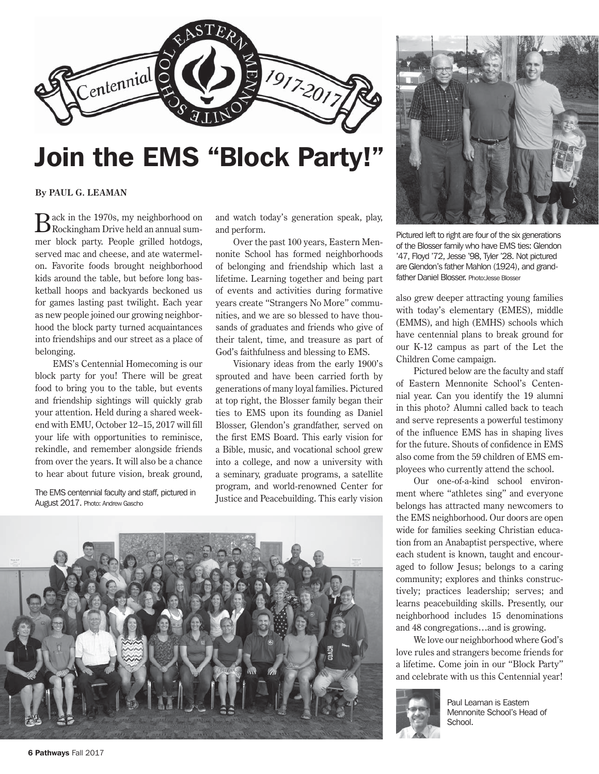

# Join the EMS "Block Party!"

**By PAUL G. LEAMAN** 

Back in the 1970s, my neighborhood on Rockingham Drive held an annual summer block party. People grilled hotdogs, served mac and cheese, and ate watermelon. Favorite foods brought neighborhood kids around the table, but before long basketball hoops and backyards beckoned us for games lasting past twilight. Each year as new people joined our growing neighborhood the block party turned acquaintances into friendships and our street as a place of belonging.

EMS's Centennial Homecoming is our block party for you! There will be great food to bring you to the table, but events and friendship sightings will quickly grab your attention. Held during a shared weekend with EMU, October 12–15, 2017 will fill your life with opportunities to reminisce, rekindle, and remember alongside friends from over the years. It will also be a chance to hear about future vision, break ground,

The EMS centennial faculty and staff, pictured in August 2017. Photo: Andrew Gascho

and watch today's generation speak, play, and perform.

Over the past 100 years, Eastern Mennonite School has formed neighborhoods of belonging and friendship which last a lifetime. Learning together and being part of events and activities during formative years create "Strangers No More" communities, and we are so blessed to have thousands of graduates and friends who give of their talent, time, and treasure as part of God's faithfulness and blessing to EMS.

Visionary ideas from the early 1900's sprouted and have been carried forth by generations of many loyal families. Pictured at top right, the Blosser family began their ties to EMS upon its founding as Daniel Blosser, Glendon's grandfather, served on the first EMS Board. This early vision for a Bible, music, and vocational school grew into a college, and now a university with a seminary, graduate programs, a satellite program, and world-renowned Center for Justice and Peacebuilding. This early vision





Pictured left to right are four of the six generations of the Blosser family who have EMS ties: Glendon '47, Floyd '72, Jesse '98, Tyler '28. Not pictured are Glendon's father Mahlon (1924), and grandfather Daniel Blosser. Photo:Jesse Blosser

also grew deeper attracting young families with today's elementary (EMES), middle (EMMS), and high (EMHS) schools which have centennial plans to break ground for our K-12 campus as part of the Let the Children Come campaign.

Pictured below are the faculty and staff of Eastern Mennonite School's Centennial year. Can you identify the 19 alumni in this photo? Alumni called back to teach and serve represents a powerful testimony of the influence EMS has in shaping lives for the future. Shouts of confidence in EMS also come from the 59 children of EMS employees who currently attend the school.

Our one-of-a-kind school environment where "athletes sing" and everyone belongs has attracted many newcomers to the EMS neighborhood. Our doors are open wide for families seeking Christian education from an Anabaptist perspective, where each student is known, taught and encouraged to follow Jesus; belongs to a caring community; explores and thinks constructively; practices leadership; serves; and learns peacebuilding skills. Presently, our neighborhood includes 15 denominations and 48 congregations…and is growing.

We love our neighborhood where God's love rules and strangers become friends for a lifetime. Come join in our "Block Party" and celebrate with us this Centennial year!



Paul Leaman is Eastern Mennonite School's Head of School.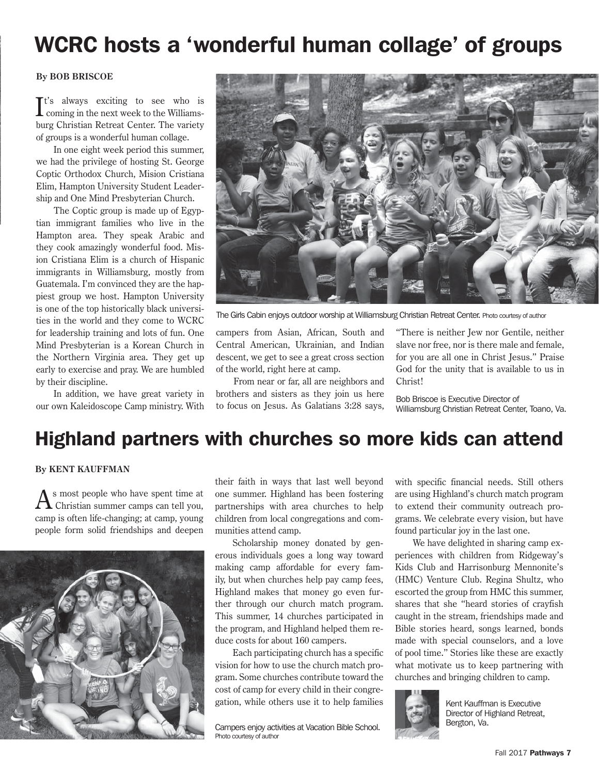# WCRC hosts a 'wonderful human collage' of groups

#### **By BOB BRISCOE**

 $\mathbf{I}^{\text{t's always exciting to see who is}}$  coming in the next week to the Williams- $Tt's$  always exciting to see who is burg Christian Retreat Center. The variety of groups is a wonderful human collage.

In one eight week period this summer, we had the privilege of hosting St. George Coptic Orthodox Church, Mision Cristiana Elim, Hampton University Student Leadership and One Mind Presbyterian Church.

The Coptic group is made up of Egyptian immigrant families who live in the Hampton area. They speak Arabic and they cook amazingly wonderful food. Mision Cristiana Elim is a church of Hispanic immigrants in Williamsburg, mostly from Guatemala. I'm convinced they are the happiest group we host. Hampton University is one of the top historically black universities in the world and they come to WCRC for leadership training and lots of fun. One Mind Presbyterian is a Korean Church in the Northern Virginia area. They get up early to exercise and pray. We are humbled by their discipline.

In addition, we have great variety in our own Kaleidoscope Camp ministry. With



The Girls Cabin enjoys outdoor worship at Williamsburg Christian Retreat Center. Photo courtesy of author

campers from Asian, African, South and Central American, Ukrainian, and Indian descent, we get to see a great cross section of the world, right here at camp.

From near or far, all are neighbors and brothers and sisters as they join us here to focus on Jesus. As Galatians 3:28 says,

"There is neither Jew nor Gentile, neither slave nor free, nor is there male and female, for you are all one in Christ Jesus." Praise God for the unity that is available to us in Christ!

Bob Briscoe is Executive Director of Williamsburg Christian Retreat Center, Toano, Va.

### Highland partners with churches so more kids can attend

#### **By KENT KAUFFMAN**

 $A$ s most people who have spent time at Christian summer camps can tell you, camp is often life-changing; at camp, young people form solid friendships and deepen



their faith in ways that last well beyond one summer. Highland has been fostering partnerships with area churches to help children from local congregations and communities attend camp.

Scholarship money donated by generous individuals goes a long way toward making camp affordable for every family, but when churches help pay camp fees, Highland makes that money go even further through our church match program. This summer, 14 churches participated in the program, and Highland helped them reduce costs for about 160 campers.

Each participating church has a specific vision for how to use the church match program. Some churches contribute toward the cost of camp for every child in their congregation, while others use it to help families

Bergton, Va. Campers enjoy activities at Vacation Bible School. Photo courtesy of author

with specific financial needs. Still others are using Highland's church match program to extend their community outreach programs. We celebrate every vision, but have found particular joy in the last one.

We have delighted in sharing camp experiences with children from Ridgeway's Kids Club and Harrisonburg Mennonite's (HMC) Venture Club. Regina Shultz, who escorted the group from HMC this summer, shares that she "heard stories of crayfish caught in the stream, friendships made and Bible stories heard, songs learned, bonds made with special counselors, and a love of pool time." Stories like these are exactly what motivate us to keep partnering with churches and bringing children to camp.



Kent Kauffman is Executive Director of Highland Retreat,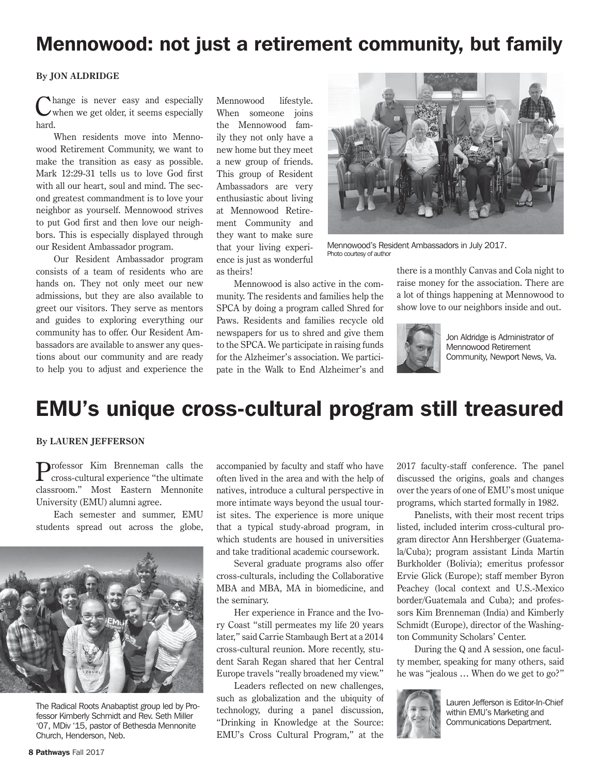### Mennowood: not just a retirement community, but family

#### **By JON ALDRIDGE**

Change is never easy and especially when we get older, it seems especially hard.

When residents move into Mennowood Retirement Community, we want to make the transition as easy as possible. Mark 12:29-31 tells us to love God first with all our heart, soul and mind. The second greatest commandment is to love your neighbor as yourself. Mennowood strives to put God first and then love our neighbors. This is especially displayed through our Resident Ambassador program.

Our Resident Ambassador program consists of a team of residents who are hands on. They not only meet our new admissions, but they are also available to greet our visitors. They serve as mentors and guides to exploring everything our community has to offer. Our Resident Ambassadors are available to answer any questions about our community and are ready to help you to adjust and experience the

Mennowood lifestyle. When someone joins the Mennowood family they not only have a new home but they meet a new group of friends. This group of Resident Ambassadors are very enthusiastic about living at Mennowood Retirement Community and they want to make sure that your living experience is just as wonderful as theirs!



Mennowood's Resident Ambassadors in July 2017. Photo courtesy of author

Mennowood is also active in the community. The residents and families help the SPCA by doing a program called Shred for Paws. Residents and families recycle old newspapers for us to shred and give them to the SPCA. We participate in raising funds for the Alzheimer's association. We participate in the Walk to End Alzheimer's and there is a monthly Canvas and Cola night to raise money for the association. There are a lot of things happening at Mennowood to show love to our neighbors inside and out.



Jon Aldridge is Administrator of Mennowood Retirement Community, Newport News, Va.

### EMU's unique cross-cultural program still treasured

#### **By LAUREN JEFFERSON**

Professor Kim Brenneman calls the cross-cultural experience "the ultimate classroom." Most Eastern Mennonite University (EMU) alumni agree.

Each semester and summer, EMU students spread out across the globe,



The Radical Roots Anabaptist group led by Professor Kimberly Schmidt and Rev. Seth Miller '07, MDiv '15, pastor of Bethesda Mennonite Church, Henderson, Neb.

accompanied by faculty and staff who have often lived in the area and with the help of natives, introduce a cultural perspective in more intimate ways beyond the usual tourist sites. The experience is more unique that a typical study-abroad program, in which students are housed in universities and take traditional academic coursework.

Several graduate programs also offer cross-culturals, including the Collaborative MBA and MBA, MA in biomedicine, and the seminary.

Her experience in France and the Ivory Coast "still permeates my life 20 years later," said Carrie Stambaugh Bert at a 2014 cross-cultural reunion. More recently, student Sarah Regan shared that her Central Europe travels "really broadened my view."

Leaders reflected on new challenges, such as globalization and the ubiquity of technology, during a panel discussion, "Drinking in Knowledge at the Source: EMU's Cross Cultural Program," at the 2017 faculty-staff conference. The panel discussed the origins, goals and changes over the years of one of EMU's most unique programs, which started formally in 1982.

Panelists, with their most recent trips listed, included interim cross-cultural program director Ann Hershberger (Guatemala/Cuba); program assistant Linda Martin Burkholder (Bolivia); emeritus professor Ervie Glick (Europe); staff member Byron Peachey (local context and U.S.-Mexico border/Guatemala and Cuba); and professors Kim Brenneman (India) and Kimberly Schmidt (Europe), director of the Washington Community Scholars' Center.

During the Q and A session, one faculty member, speaking for many others, said he was "jealous … When do we get to go?"



Lauren Jefferson is Editor-In-Chief within EMU's Marketing and Communications Department.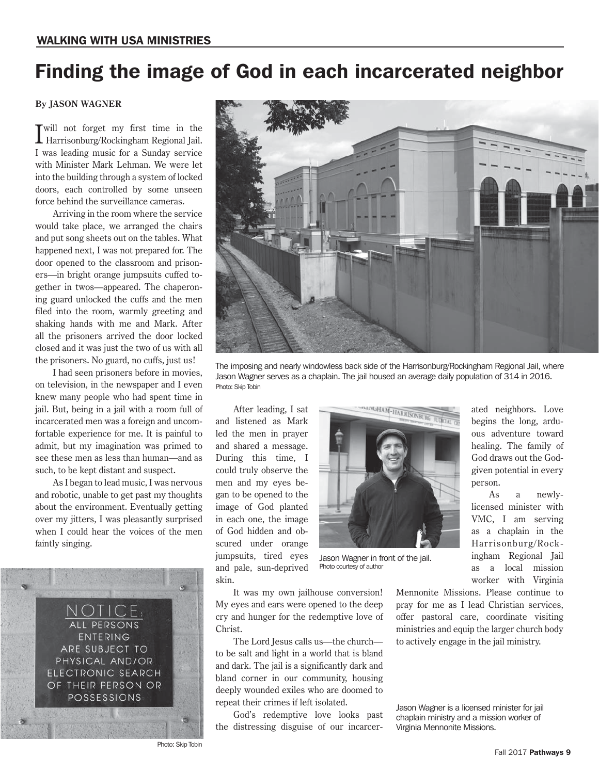### Finding the image of God in each incarcerated neighbor

#### **By JASON WAGNER**

I will not forget my first time in the Harrisonburg/Rockingham Regional Jail. I was leading music for a Sunday service with Minister Mark Lehman. We were let into the building through a system of locked doors, each controlled by some unseen force behind the surveillance cameras.

Arriving in the room where the service would take place, we arranged the chairs and put song sheets out on the tables. What happened next, I was not prepared for. The door opened to the classroom and prisoners—in bright orange jumpsuits cuffed together in twos—appeared. The chaperoning guard unlocked the cuffs and the men filed into the room, warmly greeting and shaking hands with me and Mark. After all the prisoners arrived the door locked closed and it was just the two of us with all the prisoners. No guard, no cuffs, just us!

I had seen prisoners before in movies, on television, in the newspaper and I even knew many people who had spent time in jail. But, being in a jail with a room full of incarcerated men was a foreign and uncomfortable experience for me. It is painful to admit, but my imagination was primed to see these men as less than human—and as such, to be kept distant and suspect.

As I began to lead music, I was nervous and robotic, unable to get past my thoughts about the environment. Eventually getting over my jitters, I was pleasantly surprised when I could hear the voices of the men faintly singing.





The imposing and nearly windowless back side of the Harrisonburg/Rockingham Regional Jail, where Jason Wagner serves as a chaplain. The jail housed an average daily population of 314 in 2016. Photo: Skip Tobin

After leading, I sat and listened as Mark led the men in prayer and shared a message. During this time, I could truly observe the men and my eyes began to be opened to the image of God planted in each one, the image of God hidden and obscured under orange jumpsuits, tired eyes and pale, sun-deprived skin.



Jason Wagner in front of the jail. Photo courtesy of author

It was my own jailhouse conversion! My eyes and ears were opened to the deep cry and hunger for the redemptive love of Christ.

The Lord Jesus calls us—the church to be salt and light in a world that is bland and dark. The jail is a significantly dark and bland corner in our community, housing deeply wounded exiles who are doomed to repeat their crimes if left isolated.

God's redemptive love looks past the distressing disguise of our incarcerGod draws out the Godgiven potential in every person. As a newlylicensed minister with VMC, I am serving

ated neighbors. Love begins the long, arduous adventure toward healing. The family of

as a chaplain in the Harrisonburg/Rockingham Regional Jail as a local mission worker with Virginia

Mennonite Missions. Please continue to pray for me as I lead Christian services, offer pastoral care, coordinate visiting ministries and equip the larger church body to actively engage in the jail ministry.

Jason Wagner is a licensed minister for jail chaplain ministry and a mission worker of Virginia Mennonite Missions.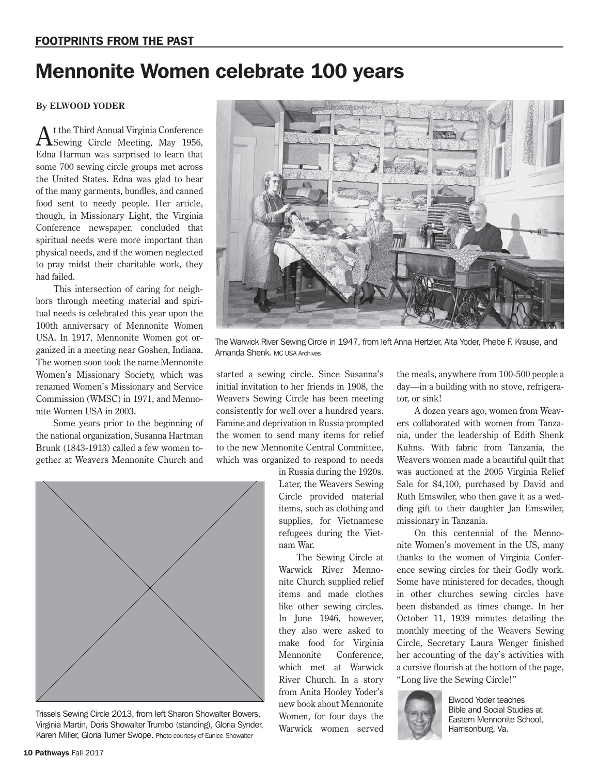## Mennonite Women celebrate 100 years

#### **By ELWOOD YODER**

 $A$ t the Third Annual Virginia Conference<br>Sewing Circle Meeting, May 1956, Edna Harman was surprised to learn that some 700 sewing circle groups met across the United States. Edna was glad to hear of the many garments, bundles, and canned food sent to needy people. Her article, though, in Missionary Light, the Virginia Conference newspaper, concluded that spiritual needs were more important than physical needs, and if the women neglected to pray midst their charitable work, they had failed.

This intersection of caring for neighbors through meeting material and spiritual needs is celebrated this year upon the 100th anniversary of Mennonite Women USA. In 1917, Mennonite Women got organized in a meeting near Goshen, Indiana. The women soon took the name Mennonite Women's Missionary Society, which was renamed Women's Missionary and Service Commission (WMSC) in 1971, and Mennonite Women USA in 2003.

Some years prior to the beginning of the national organization, Susanna Hartman Brunk (1843-1913) called a few women together at Weavers Mennonite Church and



Trissels Sewing Circle 2013, from left Sharon Showalter Bowers, Virginia Martin, Doris Showalter Trumbo (standing), Gloria Synder, Karen Miller, Gloria Turner Swope. Photo courtesy of Eunice Showalter



The Warwick River Sewing Circle in 1947, from left Anna Hertzler, Alta Yoder, Phebe F. Krause, and Amanda Shenk. MC USA Archives

started a sewing circle. Since Susanna's initial invitation to her friends in 1908, the Weavers Sewing Circle has been meeting consistently for well over a hundred years. Famine and deprivation in Russia prompted the women to send many items for relief to the new Mennonite Central Committee, which was organized to respond to needs

> in Russia during the 1920s. Later, the Weavers Sewing Circle provided material items, such as clothing and supplies, for Vietnamese refugees during the Vietnam War.

> The Sewing Circle at Warwick River Mennonite Church supplied relief items and made clothes like other sewing circles. In June 1946, however, they also were asked to make food for Virginia Mennonite Conference, which met at Warwick River Church. In a story from Anita Hooley Yoder's new book about Mennonite Women, for four days the Warwick women served

the meals, anywhere from 100-500 people a day—in a building with no stove, refrigerator, or sink!

A dozen years ago, women from Weavers collaborated with women from Tanzania, under the leadership of Edith Shenk Kuhns. With fabric from Tanzania, the Weavers women made a beautiful quilt that was auctioned at the 2005 Virginia Relief Sale for \$4,100, purchased by David and Ruth Emswiler, who then gave it as a wedding gift to their daughter Jan Emswiler, missionary in Tanzania.

On this centennial of the Mennonite Women's movement in the US, many thanks to the women of Virginia Conference sewing circles for their Godly work. Some have ministered for decades, though in other churches sewing circles have been disbanded as times change. In her October 11, 1939 minutes detailing the monthly meeting of the Weavers Sewing Circle, Secretary Laura Wenger finished her accounting of the day's activities with a cursive flourish at the bottom of the page, "Long live the Sewing Circle!"



Elwood Yoder teaches Bible and Social Studies at Eastern Mennonite School, Harrisonburg, Va.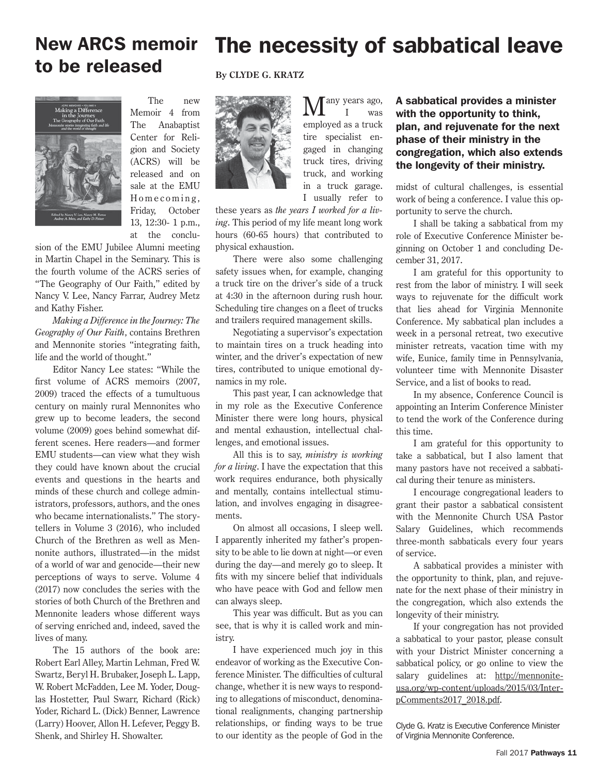### New ARCS memoir The necessity of sabbatical leave to be released

The new Memoir 4 from The Anabaptist Center for Religion and Society (ACRS) will be released and on sale at the EMU Homecoming, Friday, October 13, 12:30- 1 p.m., at the conclu-

sion of the EMU Jubilee Alumni meeting in Martin Chapel in the Seminary. This is the fourth volume of the ACRS series of "The Geography of Our Faith," edited by Nancy V. Lee, Nancy Farrar, Audrey Metz and Kathy Fisher.

*Making a Difference in the Journey: The Geography of Our Faith*, contains Brethren and Mennonite stories "integrating faith, life and the world of thought."

Editor Nancy Lee states: "While the first volume of ACRS memoirs (2007, 2009) traced the effects of a tumultuous century on mainly rural Mennonites who grew up to become leaders, the second volume (2009) goes behind somewhat different scenes. Here readers—and former EMU students—can view what they wish they could have known about the crucial events and questions in the hearts and minds of these church and college administrators, professors, authors, and the ones who became internationalists." The storytellers in Volume 3 (2016), who included Church of the Brethren as well as Mennonite authors, illustrated—in the midst of a world of war and genocide—their new perceptions of ways to serve. Volume 4 (2017) now concludes the series with the stories of both Church of the Brethren and Mennonite leaders whose different ways of serving enriched and, indeed, saved the lives of many.

The 15 authors of the book are: Robert Earl Alley, Martin Lehman, Fred W. Swartz, Beryl H. Brubaker, Joseph L. Lapp, W. Robert McFadden, Lee M. Yoder, Douglas Hostetter, Paul Swarr, Richard (Rick) Yoder, Richard L. (Dick) Benner, Lawrence (Larry) Hoover, Allon H. Lefever, Peggy B. Shenk, and Shirley H. Showalter.

#### **By CLYDE G. KRATZ**



any years ago, was employed as a truck tire specialist engaged in changing truck tires, driving truck, and working in a truck garage. I usually refer to

these years as *the years I worked for a living*. This period of my life meant long work hours (60-65 hours) that contributed to physical exhaustion.

There were also some challenging safety issues when, for example, changing a truck tire on the driver's side of a truck at 4:30 in the afternoon during rush hour. Scheduling tire changes on a fleet of trucks and trailers required management skills.

Negotiating a supervisor's expectation to maintain tires on a truck heading into winter, and the driver's expectation of new tires, contributed to unique emotional dynamics in my role.

This past year, I can acknowledge that in my role as the Executive Conference Minister there were long hours, physical and mental exhaustion, intellectual challenges, and emotional issues.

All this is to say, *ministry is working for a living*. I have the expectation that this work requires endurance, both physically and mentally, contains intellectual stimulation, and involves engaging in disagreements.

On almost all occasions, I sleep well. I apparently inherited my father's propensity to be able to lie down at night—or even during the day—and merely go to sleep. It fits with my sincere belief that individuals who have peace with God and fellow men can always sleep.

This year was difficult. But as you can see, that is why it is called work and ministry.

I have experienced much joy in this endeavor of working as the Executive Conference Minister. The difficulties of cultural change, whether it is new ways to responding to allegations of misconduct, denominational realignments, changing partnership relationships, or finding ways to be true to our identity as the people of God in the

A sabbatical provides a minister with the opportunity to think, plan, and rejuvenate for the next phase of their ministry in the congregation, which also extends the longevity of their ministry.

midst of cultural challenges, is essential work of being a conference. I value this opportunity to serve the church.

I shall be taking a sabbatical from my role of Executive Conference Minister beginning on October 1 and concluding December 31, 2017.

I am grateful for this opportunity to rest from the labor of ministry. I will seek ways to rejuvenate for the difficult work that lies ahead for Virginia Mennonite Conference. My sabbatical plan includes a week in a personal retreat, two executive minister retreats, vacation time with my wife, Eunice, family time in Pennsylvania, volunteer time with Mennonite Disaster Service, and a list of books to read.

In my absence, Conference Council is appointing an Interim Conference Minister to tend the work of the Conference during this time.

I am grateful for this opportunity to take a sabbatical, but I also lament that many pastors have not received a sabbatical during their tenure as ministers.

I encourage congregational leaders to grant their pastor a sabbatical consistent with the Mennonite Church USA Pastor Salary Guidelines, which recommends three-month sabbaticals every four years of service.

A sabbatical provides a minister with the opportunity to think, plan, and rejuvenate for the next phase of their ministry in the congregation, which also extends the longevity of their ministry.

If your congregation has not provided a sabbatical to your pastor, please consult with your District Minister concerning a sabbatical policy, or go online to view the salary guidelines at: http://mennoniteusa.org/wp-content/uploads/2015/03/InterpComments2017\_2018.pdf.

Clyde G. Kratz is Executive Conference Minister of Virginia Mennonite Conference.